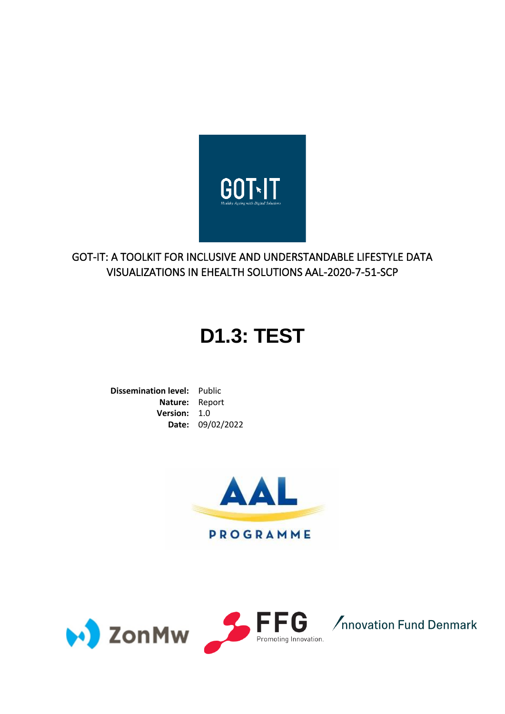

## GOT-IT: A TOOLKIT FOR INCLUSIVE AND UNDERSTANDABLE LIFESTYLE DATA VISUALIZATIONS IN EHEALTH SOLUTIONS AAL-2020-7-51-SCP

# **D1.3: TEST**

**Dissemination level:** Public **Nature:** Report **Version:** 1.0 **Date:** 09/02/2022



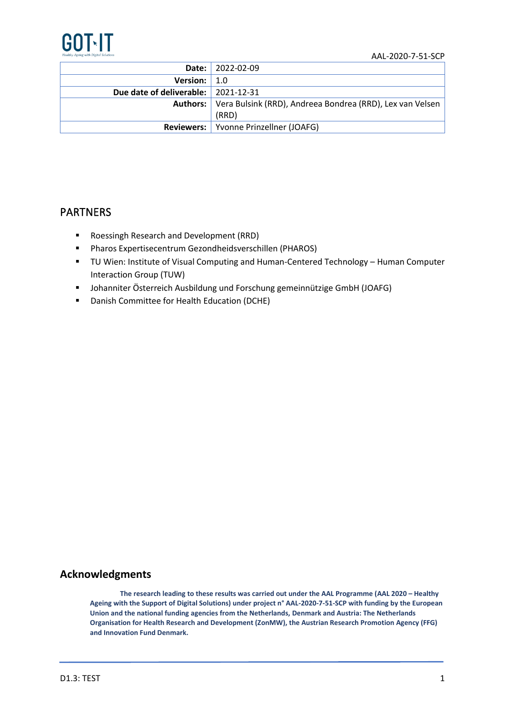

| Date:                                 | $2022 - 02 - 09$                                                     |
|---------------------------------------|----------------------------------------------------------------------|
| Version: $1.0$                        |                                                                      |
| Due date of deliverable:   2021-12-31 |                                                                      |
|                                       | Authors:   Vera Bulsink (RRD), Andreea Bondrea (RRD), Lex van Velsen |
|                                       | (RRD)                                                                |
| <b>Reviewers:</b>                     | <b>Yvonne Prinzellner (JOAFG)</b>                                    |

## PARTNERS

- Roessingh Research and Development (RRD)
- Pharos Expertisecentrum Gezondheidsverschillen (PHAROS)
- TU Wien: Institute of Visual Computing and Human-Centered Technology Human Computer Interaction Group (TUW)
- Johanniter Österreich Ausbildung und Forschung gemeinnützige GmbH (JOAFG)
- Danish Committee for Health Education (DCHE)

## **Acknowledgments**

**The research leading to these results was carried out under the AAL Programme (AAL 2020 – Healthy Ageing with the Support of Digital Solutions) under project n° AAL-2020-7-51-SCP with funding by the European Union and the national funding agencies from the Netherlands, Denmark and Austria: The Netherlands Organisation for Health Research and Development (ZonMW), the Austrian Research Promotion Agency (FFG) and Innovation Fund Denmark.**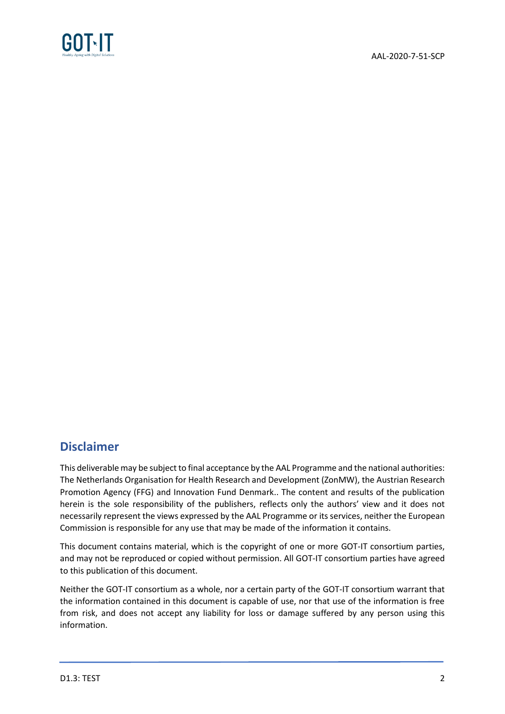

## **Disclaimer**

This deliverable may be subject to final acceptance by the AAL Programme and the national authorities: The Netherlands Organisation for Health Research and Development (ZonMW), the Austrian Research Promotion Agency (FFG) and Innovation Fund Denmark.. The content and results of the publication herein is the sole responsibility of the publishers, reflects only the authors' view and it does not necessarily represent the views expressed by the AAL Programme or its services, neither the European Commission is responsible for any use that may be made of the information it contains.

This document contains material, which is the copyright of one or more GOT-IT consortium parties, and may not be reproduced or copied without permission. All GOT-IT consortium parties have agreed to this publication of this document.

Neither the GOT-IT consortium as a whole, nor a certain party of the GOT-IT consortium warrant that the information contained in this document is capable of use, nor that use of the information is free from risk, and does not accept any liability for loss or damage suffered by any person using this information.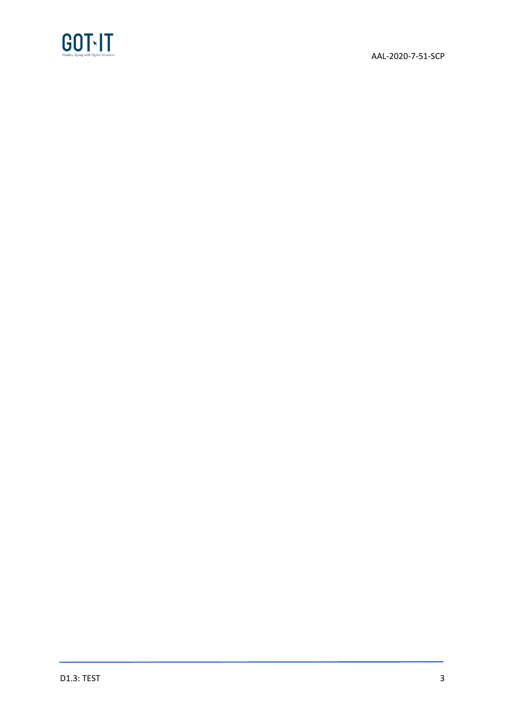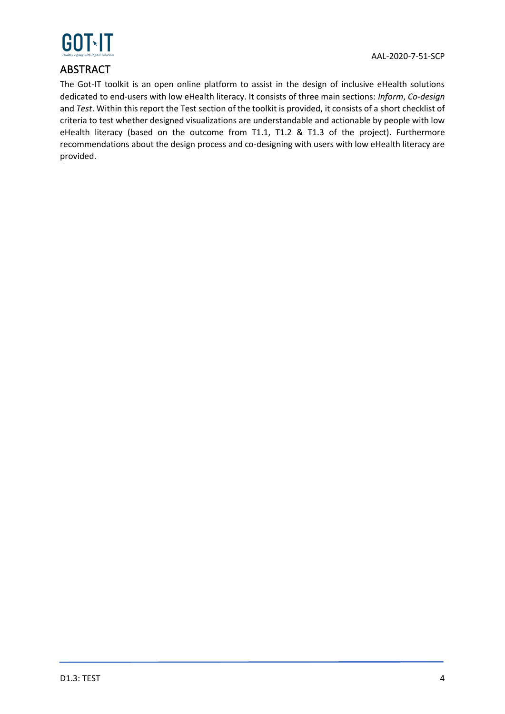

## <span id="page-4-0"></span>**ABSTRACT**

The Got-IT toolkit is an open online platform to assist in the design of inclusive eHealth solutions dedicated to end-users with low eHealth literacy. It consists of three main sections: *Inform*, *Co-design* and *Test*. Within this report the Test section of the toolkit is provided, it consists of a short checklist of criteria to test whether designed visualizations are understandable and actionable by people with low eHealth literacy (based on the outcome from T1.1, T1.2 & T1.3 of the project). Furthermore recommendations about the design process and co-designing with users with low eHealth literacy are provided.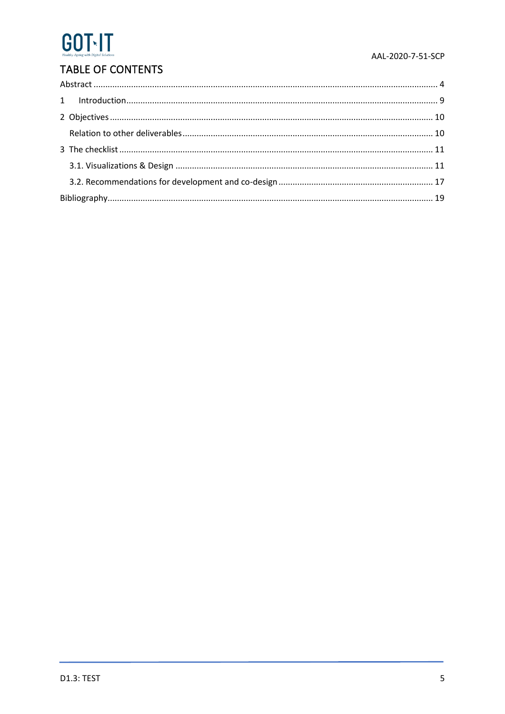

## TABLE OF CONTENTS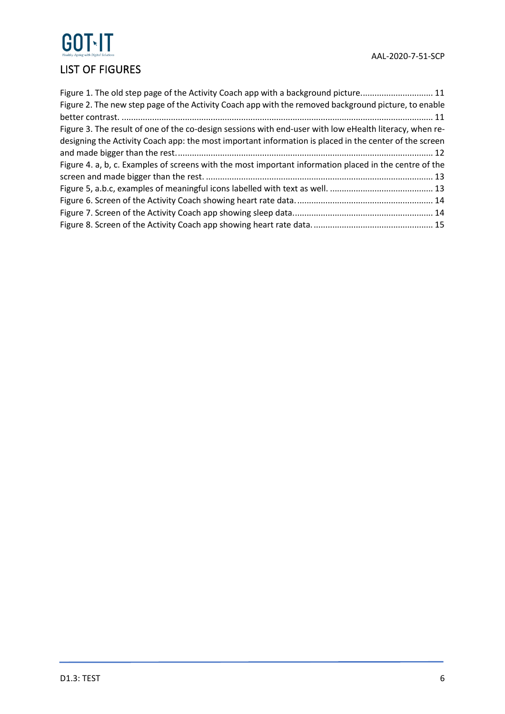

| Figure 1. The old step page of the Activity Coach app with a background picture 11                      |
|---------------------------------------------------------------------------------------------------------|
| Figure 2. The new step page of the Activity Coach app with the removed background picture, to enable    |
|                                                                                                         |
| Figure 3. The result of one of the co-design sessions with end-user with low eHealth literacy, when re- |
| designing the Activity Coach app: the most important information is placed in the center of the screen  |
|                                                                                                         |
| Figure 4. a, b, c. Examples of screens with the most important information placed in the centre of the  |
|                                                                                                         |
|                                                                                                         |
|                                                                                                         |
|                                                                                                         |
|                                                                                                         |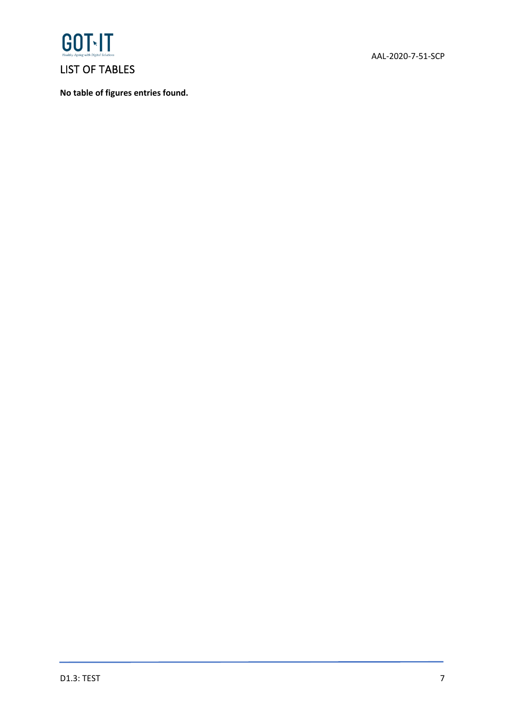

**No table of figures entries found.**

AAL-2020-7-51-SCP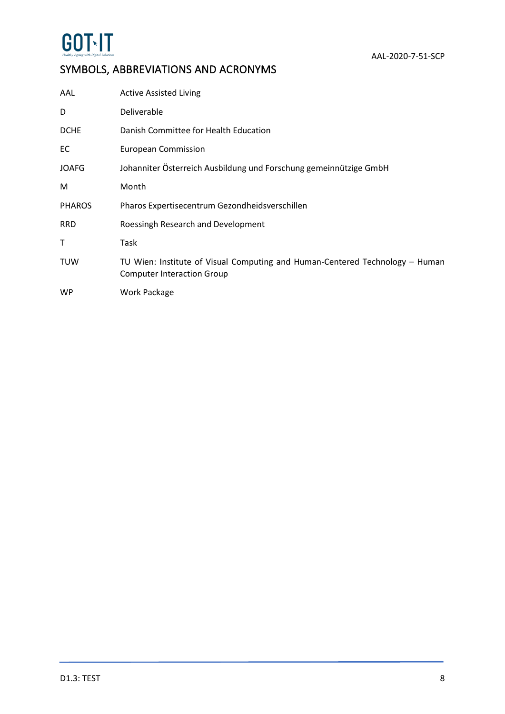

# SYMBOLS, ABBREVIATIONS AND ACRONYMS

| AAL           | <b>Active Assisted Living</b>                                                                                     |
|---------------|-------------------------------------------------------------------------------------------------------------------|
| D             | Deliverable                                                                                                       |
| <b>DCHE</b>   | Danish Committee for Health Education                                                                             |
| EC            | <b>European Commission</b>                                                                                        |
| <b>JOAFG</b>  | Johanniter Österreich Ausbildung und Forschung gemeinnützige GmbH                                                 |
| M             | Month                                                                                                             |
| <b>PHAROS</b> | Pharos Expertisecentrum Gezondheidsverschillen                                                                    |
| <b>RRD</b>    | Roessingh Research and Development                                                                                |
| T             | Task                                                                                                              |
| <b>TUW</b>    | TU Wien: Institute of Visual Computing and Human-Centered Technology - Human<br><b>Computer Interaction Group</b> |
| <b>WP</b>     | Work Package                                                                                                      |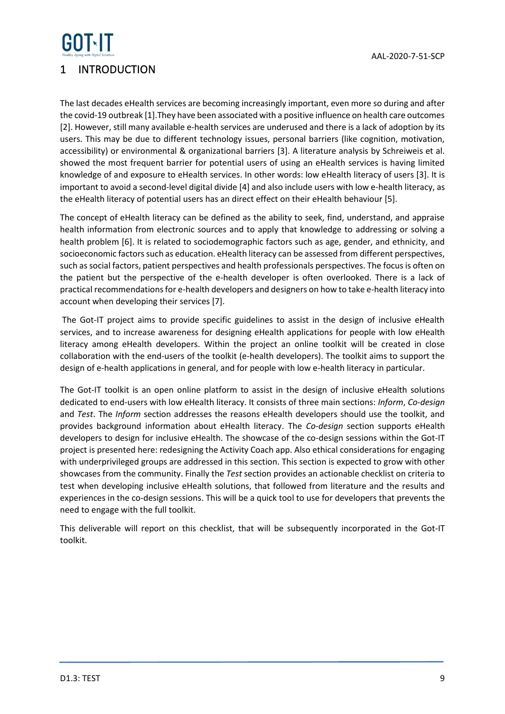# <span id="page-9-0"></span>**GOT-IT** 1 INTRODUCTION

The last decades eHealth services are becoming increasingly important, even more so during and after the covid-19 outbreak [1].They have been associated with a positive influence on health care outcomes [2]. However, still many available e-health services are underused and there is a lack of adoption by its users. This may be due to different technology issues, personal barriers (like cognition, motivation, accessibility) or environmental & organizational barriers [3]. A literature analysis by Schreiweis et al. showed the most frequent barrier for potential users of using an eHealth services is having limited knowledge of and exposure to eHealth services. In other words: low eHealth literacy of users [3]. It is important to avoid a second-level digital divide [4] and also include users with low e-health literacy, as the eHealth literacy of potential users has an direct effect on their eHealth behaviour [5].

The concept of eHealth literacy can be defined as the ability to seek, find, understand, and appraise health information from electronic sources and to apply that knowledge to addressing or solving a health problem [6]. It is related to sociodemographic factors such as age, gender, and ethnicity, and socioeconomic factors such as education. eHealth literacy can be assessed from different perspectives, such as social factors, patient perspectives and health professionals perspectives. The focus is often on the patient but the perspective of the e-health developer is often overlooked. There is a lack of practical recommendations for e-health developers and designers on how to take e-health literacy into account when developing their services [7].

The Got-IT project aims to provide specific guidelines to assist in the design of inclusive eHealth services, and to increase awareness for designing eHealth applications for people with low eHealth literacy among eHealth developers. Within the project an online toolkit will be created in close collaboration with the end-users of the toolkit (e-health developers). The toolkit aims to support the design of e-health applications in general, and for people with low e-health literacy in particular.

The Got-IT toolkit is an open online platform to assist in the design of inclusive eHealth solutions dedicated to end-users with low eHealth literacy. It consists of three main sections: *Inform*, *Co-design* and *Test*. The *Inform* section addresses the reasons eHealth developers should use the toolkit, and provides background information about eHealth literacy. The *Co-design* section supports eHealth developers to design for inclusive eHealth. The showcase of the co-design sessions within the Got-IT project is presented here: redesigning the Activity Coach app. Also ethical considerations for engaging with underprivileged groups are addressed in this section. This section is expected to grow with other showcases from the community. Finally the *Test* section provides an actionable checklist on criteria to test when developing inclusive eHealth solutions, that followed from literature and the results and experiences in the co-design sessions. This will be a quick tool to use for developers that prevents the need to engage with the full toolkit.

This deliverable will report on this checklist, that will be subsequently incorporated in the Got-IT toolkit.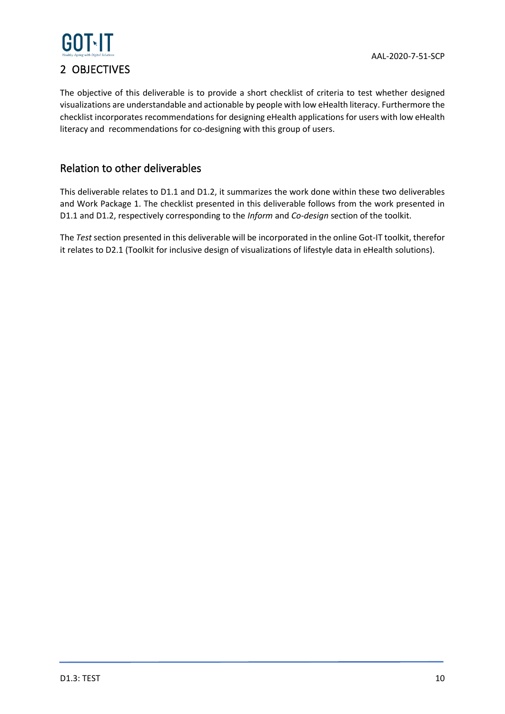

<span id="page-10-0"></span>The objective of this deliverable is to provide a short checklist of criteria to test whether designed visualizations are understandable and actionable by people with low eHealth literacy. Furthermore the checklist incorporates recommendations for designing eHealth applications for users with low eHealth literacy and recommendations for co-designing with this group of users.

## <span id="page-10-1"></span>Relation to other deliverables

This deliverable relates to D1.1 and D1.2, it summarizes the work done within these two deliverables and Work Package 1. The checklist presented in this deliverable follows from the work presented in D1.1 and D1.2, respectively corresponding to the *Inform* and *Co-design* section of the toolkit.

The *Test* section presented in this deliverable will be incorporated in the online Got-IT toolkit, therefor it relates to D2.1 (Toolkit for inclusive design of visualizations of lifestyle data in eHealth solutions).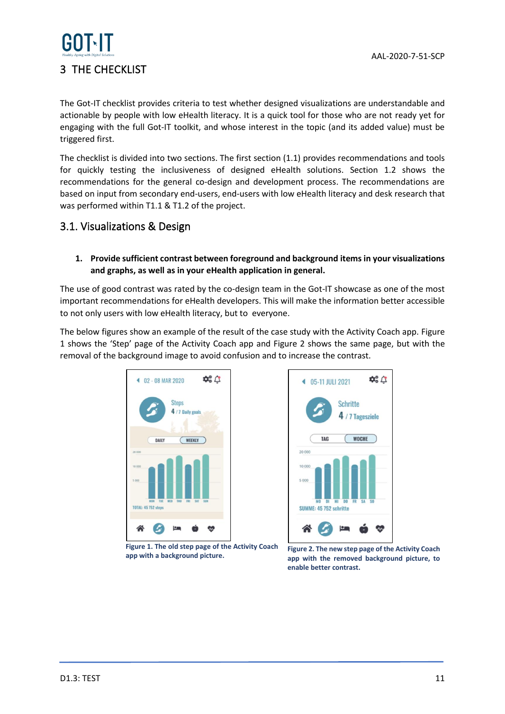# <span id="page-11-0"></span>**GOT.IT** 3 THE CHECKLIST

The Got-IT checklist provides criteria to test whether designed visualizations are understandable and actionable by people with low eHealth literacy. It is a quick tool for those who are not ready yet for engaging with the full Got-IT toolkit, and whose interest in the topic (and its added value) must be triggered first.

The checklist is divided into two sections. The first section (1.1) provides recommendations and tools for quickly testing the inclusiveness of designed eHealth solutions. Section 1.2 shows the recommendations for the general co-design and development process. The recommendations are based on input from secondary end-users, end-users with low eHealth literacy and desk research that was performed within T1.1 & T1.2 of the project.

## <span id="page-11-1"></span>3.1. Visualizations & Design

#### **1. Provide sufficient contrast between foreground and background items in your visualizations and graphs, as well as in your eHealth application in general.**

The use of good contrast was rated by the co-design team in the Got-IT showcase as one of the most important recommendations for eHealth developers. This will make the information better accessible to not only users with low eHealth literacy, but to everyone.

The below figures show an example of the result of the case study with the Activity Coach app. [Figure](#page-11-2)  [1](#page-11-2) shows the 'Step' page of the Activity Coach app and [Figure 2](#page-11-3) shows the same page, but with the removal of the background image to avoid confusion and to increase the contrast.





**Figure 1. The old step page of the Activity Coach app with a background picture.**

<span id="page-11-3"></span><span id="page-11-2"></span>**Figure 2. The new step page of the Activity Coach app with the removed background picture, to enable better contrast.**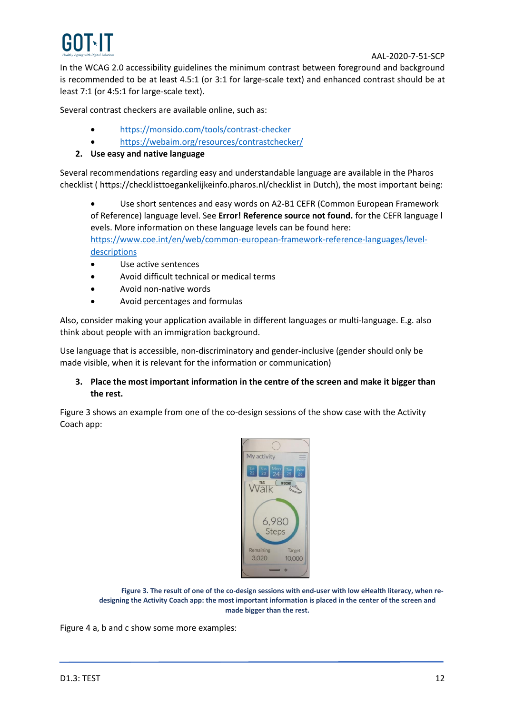

In the WCAG 2.0 accessibility guidelines the minimum contrast between foreground and background is recommended to be at least 4.5:1 (or 3:1 for large-scale text) and enhanced contrast should be at least 7:1 (or 4:5:1 for large-scale text).

Several contrast checkers are available online, such as:

- <https://monsido.com/tools/contrast-checker>
- <https://webaim.org/resources/contrastchecker/>

#### **2. Use easy and native language**

Several recommendations regarding easy and understandable language are available in the Pharos checklist ( <https://checklisttoegankelijkeinfo.pharos.nl/checklist> in Dutch), the most important being:

• Use short sentences and easy words on A2-B1 CEFR (Common European Framework of Reference) language level. See **Error! Reference source not found.** for the CEFR language l evels. More information on these language levels can be found here: [https://www.coe.int/en/web/common-european-framework-reference-languages/level](https://www.coe.int/en/web/common-european-framework-reference-languages/level-descriptions)[descriptions](https://www.coe.int/en/web/common-european-framework-reference-languages/level-descriptions)

- Use active sentences
- Avoid difficult technical or medical terms
- Avoid non-native words
- Avoid percentages and formulas

Also, consider making your application available in different languages or multi-language. E.g. also think about people with an immigration background.

Use language that is accessible, non-discriminatory and gender-inclusive (gender should only be made visible, when it is relevant for the information or communication)

#### **3. Place the most important information in the centre of the screen and make it bigger than the rest.**

[Figure 3](#page-12-0) shows an example from one of the co-design sessions of the show case with the Activity Coach app:



**Figure 3. The result of one of the co-design sessions with end-user with low eHealth literacy, when redesigning the Activity Coach app: the most important information is placed in the center of the screen and made bigger than the rest.**

<span id="page-12-0"></span>[Figure 4](#page-13-0) a, b and c show some more examples: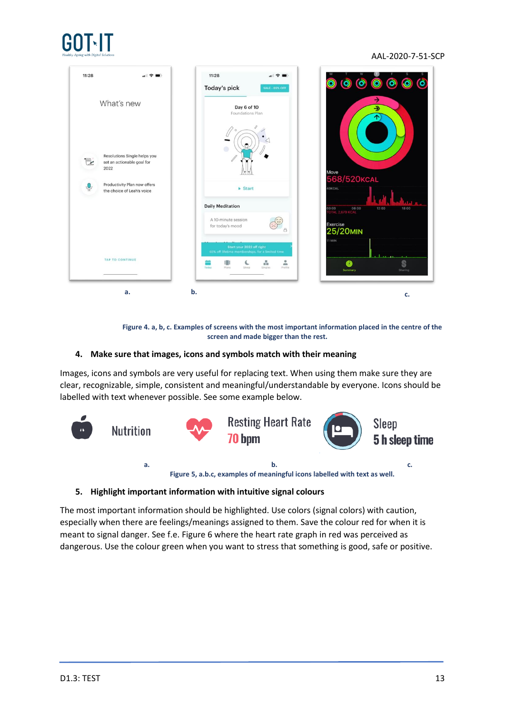



**Figure 4. a, b, c. Examples of screens with the most important information placed in the centre of the screen and made bigger than the rest.**

#### <span id="page-13-0"></span>**4. Make sure that images, icons and symbols match with their meaning**

Images, icons and symbols are very useful for replacing text. When using them make sure they are clear, recognizable, simple, consistent and meaningful/understandable by everyone. Icons should be labelled with text whenever possible. See some example below.



#### <span id="page-13-1"></span>**5. Highlight important information with intuitive signal colours**

The most important information should be highlighted. Use colors (signal colors) with caution, especially when there are feelings/meanings assigned to them. Save the colour red for when it is meant to signal danger. See f.e. [Figure 6](#page-14-0) where the heart rate graph in red was perceived as dangerous. Use the colour green when you want to stress that something is good, safe or positive.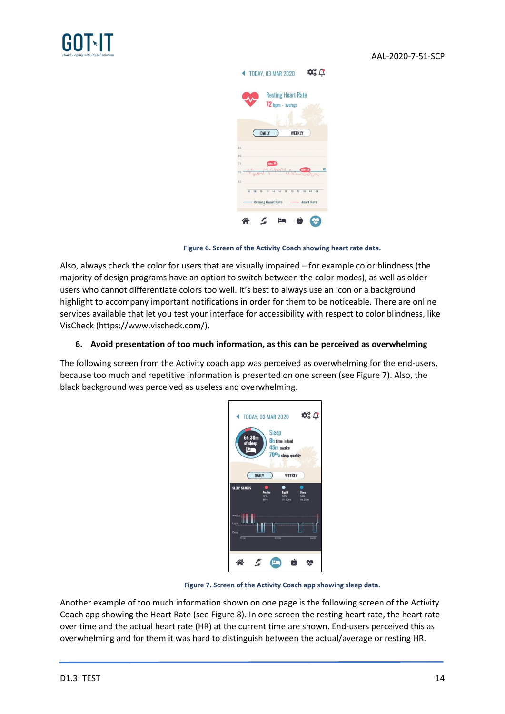



**Figure 6. Screen of the Activity Coach showing heart rate data.**

<span id="page-14-0"></span>Also, always check the color for users that are visually impaired – for example color blindness (the majority of design programs have an option to switch between the color modes), as well as older users who cannot differentiate colors too well. It's best to always use an icon or a background highlight to accompany important notifications in order for them to be noticeable. There are online services available that let you test your interface for accessibility with respect to color blindness, like VisCheck (https://www.vischeck.com/).

#### **6. Avoid presentation of too much information, as this can be perceived as overwhelming**

The following screen from the Activity coach app was perceived as overwhelming for the end-users, because too much and repetitive information is presented on one screen (see [Figure 7\)](#page-14-1). Also, the black background was perceived as useless and overwhelming.



**Figure 7. Screen of the Activity Coach app showing sleep data.**

<span id="page-14-1"></span>Another example of too much information shown on one page is the following screen of the Activity Coach app showing the Heart Rate (se[e Figure 8\)](#page-15-0). In one screen the resting heart rate, the heart rate over time and the actual heart rate (HR) at the current time are shown. End-users perceived this as overwhelming and for them it was hard to distinguish between the actual/average or resting HR.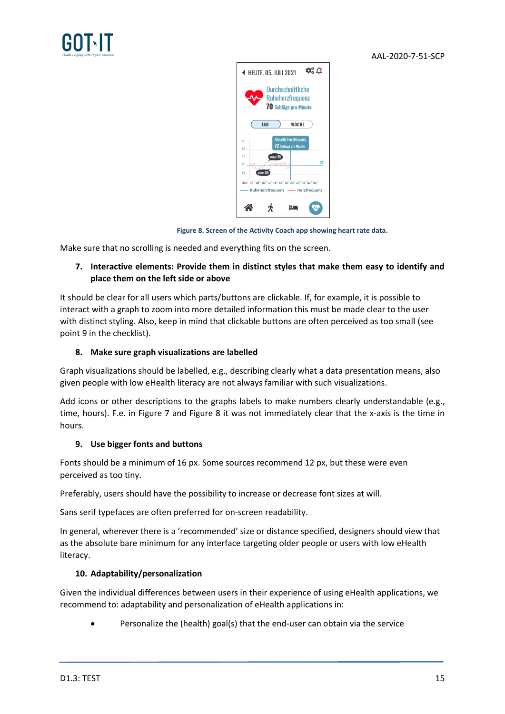



**Figure 8. Screen of the Activity Coach app showing heart rate data.**

<span id="page-15-0"></span>Make sure that no scrolling is needed and everything fits on the screen.

#### **7. Interactive elements: Provide them in distinct styles that make them easy to identify and place them on the left side or above**

It should be clear for all users which parts/buttons are clickable. If, for example, it is possible to interact with a graph to zoom into more detailed information this must be made clear to the user with distinct styling. Also, keep in mind that clickable buttons are often perceived as too small (see point 9 in the checklist).

#### **8. Make sure graph visualizations are labelled**

Graph visualizations should be labelled, e.g., describing clearly what a data presentation means, also given people with low eHealth literacy are not always familiar with such visualizations.

Add icons or other descriptions to the graphs labels to make numbers clearly understandable (e.g., time, hours). F.e. in [Figure 7](#page-14-1) and [Figure 8](#page-15-0) it was not immediately clear that the x-axis is the time in hours.

#### **9. Use bigger fonts and buttons**

Fonts should be a minimum of 16 px. Some sources recommend 12 px, but these were even perceived as too tiny.

Preferably, users should have the possibility to increase or decrease font sizes at will.

Sans serif typefaces are often preferred for on-screen readability.

In general, wherever there is a 'recommended' size or distance specified, designers should view that as the absolute bare minimum for any interface targeting older people or users with low eHealth literacy.

#### **10. Adaptability/personalization**

Given the individual differences between users in their experience of using eHealth applications, we recommend to: adaptability and personalization of eHealth applications in:

• Personalize the (health) goal(s) that the end-user can obtain via the service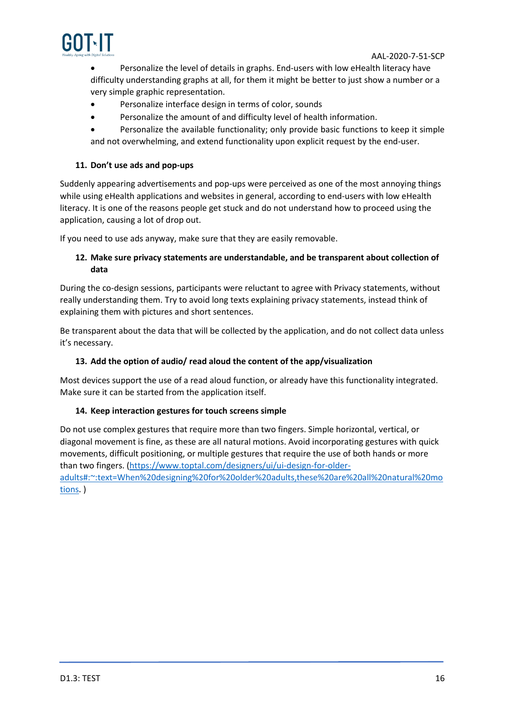

Personalize the level of details in graphs. End-users with low eHealth literacy have difficulty understanding graphs at all, for them it might be better to just show a number or a very simple graphic representation.

- Personalize interface design in terms of color, sounds
- Personalize the amount of and difficulty level of health information.
- Personalize the available functionality; only provide basic functions to keep it simple and not overwhelming, and extend functionality upon explicit request by the end-user.

#### **11. Don't use ads and pop-ups**

Suddenly appearing advertisements and pop-ups were perceived as one of the most annoying things while using eHealth applications and websites in general, according to end-users with low eHealth literacy. It is one of the reasons people get stuck and do not understand how to proceed using the application, causing a lot of drop out.

If you need to use ads anyway, make sure that they are easily removable.

#### **12. Make sure privacy statements are understandable, and be transparent about collection of data**

During the co-design sessions, participants were reluctant to agree with Privacy statements, without really understanding them. Try to avoid long texts explaining privacy statements, instead think of explaining them with pictures and short sentences.

Be transparent about the data that will be collected by the application, and do not collect data unless it's necessary.

#### **13. Add the option of audio/ read aloud the content of the app/visualization**

Most devices support the use of a read aloud function, or already have this functionality integrated. Make sure it can be started from the application itself.

#### **14. Keep interaction gestures for touch screens simple**

Do not use complex gestures that require more than two fingers. Simple horizontal, vertical, or diagonal movement is fine, as these are all natural motions. Avoid incorporating gestures with quick movements, difficult positioning, or multiple gestures that require the use of both hands or more than two fingers. [\(https://www.toptal.com/designers/ui/ui-design-for-older](https://www.toptal.com/designers/ui/ui-design-for-older-adults#:~:text=When%20designing%20for%20older%20adults,these%20are%20all%20natural%20motions)[adults#:~:text=When%20designing%20for%20older%20adults,these%20are%20all%20natural%20mo](https://www.toptal.com/designers/ui/ui-design-for-older-adults#:~:text=When%20designing%20for%20older%20adults,these%20are%20all%20natural%20motions) [tions.](https://www.toptal.com/designers/ui/ui-design-for-older-adults#:~:text=When%20designing%20for%20older%20adults,these%20are%20all%20natural%20motions) )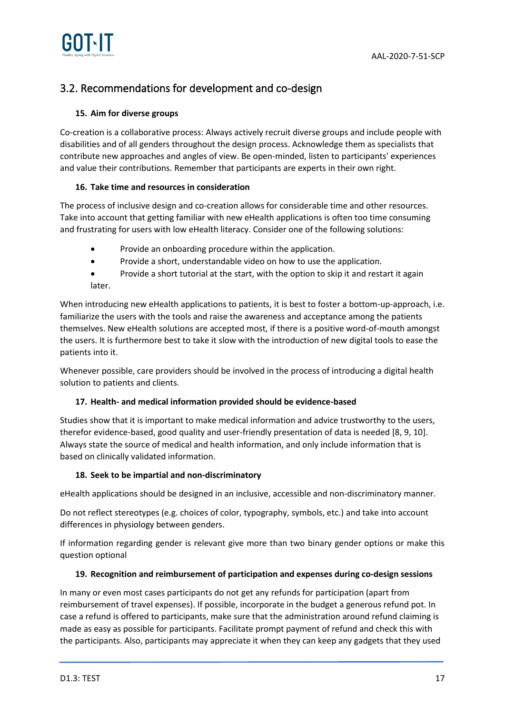

## <span id="page-17-0"></span>3.2. Recommendations for development and co-design

#### **15. Aim for diverse groups**

Co-creation is a collaborative process: Always actively recruit diverse groups and include people with disabilities and of all genders throughout the design process. Acknowledge them as specialists that contribute new approaches and angles of view. Be open-minded, listen to participants' experiences and value their contributions. Remember that participants are experts in their own right.

#### **16. Take time and resources in consideration**

The process of inclusive design and co-creation allows for considerable time and other resources. Take into account that getting familiar with new eHealth applications is often too time consuming and frustrating for users with low eHealth literacy. Consider one of the following solutions:

- Provide an onboarding procedure within the application.
- Provide a short, understandable video on how to use the application.
- Provide a short tutorial at the start, with the option to skip it and restart it again later.

When introducing new eHealth applications to patients, it is best to foster a bottom-up-approach, i.e. familiarize the users with the tools and raise the awareness and acceptance among the patients themselves. New eHealth solutions are accepted most, if there is a positive word-of-mouth amongst the users. It is furthermore best to take it slow with the introduction of new digital tools to ease the patients into it.

Whenever possible, care providers should be involved in the process of introducing a digital health solution to patients and clients.

#### **17. Health- and medical information provided should be evidence-based**

Studies show that it is important to make medical information and advice trustworthy to the users, therefor evidence-based, good quality and user-friendly presentation of data is needed [8, 9, 10]. Always state the source of medical and health information, and only include information that is based on clinically validated information.

#### **18. Seek to be impartial and non-discriminatory**

eHealth applications should be designed in an inclusive, accessible and non-discriminatory manner.

Do not reflect stereotypes (e.g. choices of color, typography, symbols, etc.) and take into account differences in physiology between genders.

If information regarding gender is relevant give more than two binary gender options or make this question optional

#### **19. Recognition and reimbursement of participation and expenses during co-design sessions**

In many or even most cases participants do not get any refunds for participation (apart from reimbursement of travel expenses). If possible, incorporate in the budget a generous refund pot. In case a refund is offered to participants, make sure that the administration around refund claiming is made as easy as possible for participants. Facilitate prompt payment of refund and check this with the participants. Also, participants may appreciate it when they can keep any gadgets that they used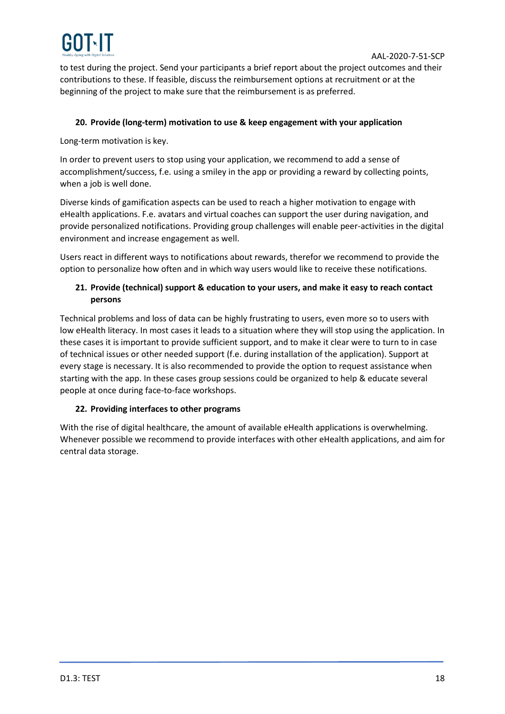

to test during the project. Send your participants a brief report about the project outcomes and their contributions to these. If feasible, discuss the reimbursement options at recruitment or at the beginning of the project to make sure that the reimbursement is as preferred.

#### **20. Provide (long-term) motivation to use & keep engagement with your application**

Long-term motivation is key.

In order to prevent users to stop using your application, we recommend to add a sense of accomplishment/success, f.e. using a smiley in the app or providing a reward by collecting points, when a job is well done.

Diverse kinds of gamification aspects can be used to reach a higher motivation to engage with eHealth applications. F.e. avatars and virtual coaches can support the user during navigation, and provide personalized notifications. Providing group challenges will enable peer-activities in the digital environment and increase engagement as well.

Users react in different ways to notifications about rewards, therefor we recommend to provide the option to personalize how often and in which way users would like to receive these notifications.

#### **21. Provide (technical) support & education to your users, and make it easy to reach contact persons**

Technical problems and loss of data can be highly frustrating to users, even more so to users with low eHealth literacy. In most cases it leads to a situation where they will stop using the application. In these cases it is important to provide sufficient support, and to make it clear were to turn to in case of technical issues or other needed support (f.e. during installation of the application). Support at every stage is necessary. It is also recommended to provide the option to request assistance when starting with the app. In these cases group sessions could be organized to help & educate several people at once during face-to-face workshops.

#### **22. Providing interfaces to other programs**

With the rise of digital healthcare, the amount of available eHealth applications is overwhelming. Whenever possible we recommend to provide interfaces with other eHealth applications, and aim for central data storage.